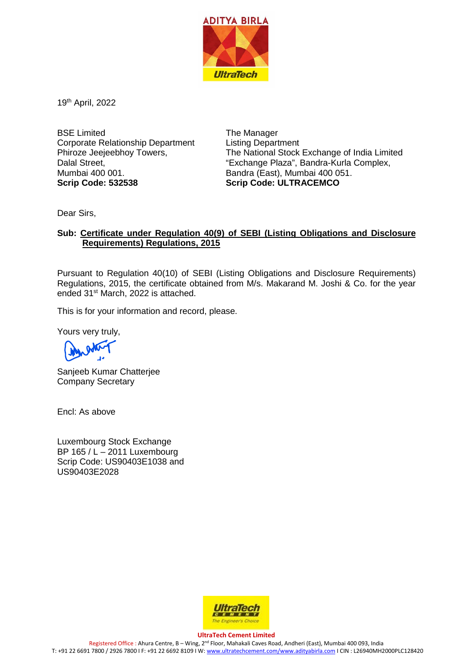

19th April, 2022

BSE Limited Corporate Relationship Department Phiroze Jeejeebhoy Towers, Dalal Street, Mumbai 400 001. **Scrip Code: 532538**

The Manager Listing Department The National Stock Exchange of India Limited "Exchange Plaza", Bandra-Kurla Complex, Bandra (East), Mumbai 400 051. **Scrip Code: ULTRACEMCO**

Dear Sirs,

### **Sub: Certificate under Regulation 40(9) of SEBI (Listing Obligations and Disclosure Requirements) Regulations, 2015**

Pursuant to Regulation 40(10) of SEBI (Listing Obligations and Disclosure Requirements) Regulations, 2015, the certificate obtained from M/s. Makarand M. Joshi & Co. for the year ended 31st March, 2022 is attached.

This is for your information and record, please.

Yours very truly,

Sanjeeb Kumar Chatterjee Company Secretary

Encl: As above

Luxembourg Stock Exchange BP 165 / L – 2011 Luxembourg Scrip Code: US90403E1038 and US90403E2028



**UltraTech Cement Limited** Registered Office : Ahura Centre, B – Wing, 2nd Floor, Mahakali Caves Road, Andheri (East), Mumbai 400 093, India T: +91 22 6691 7800 / 2926 7800 I F: +91 22 6692 8109 I W[: www.ultratechcement.com/www.adityabirla.com](http://www.ultratechcement.com/www.adityabirla.com) I CIN : L26940MH2000PLC128420